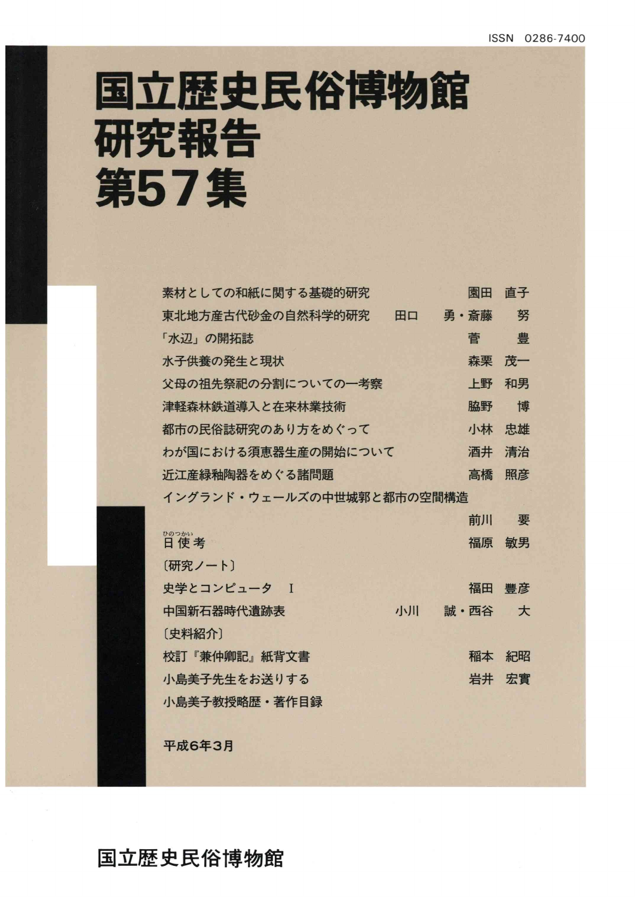# 国立歴史民俗博物館 研究報告 第57集

| 素材としての和紙に関する基礎的研究         |    | 園田   | 直子 |
|---------------------------|----|------|----|
| 東北地方産古代砂金の自然科学的研究         | 田口 | 勇・斎藤 | 努  |
| 「水辺」の開拓誌                  |    | 菅    | 豊  |
| 水子供養の発生と現状                |    | 森栗   | 茂一 |
| 父母の祖先祭祀の分割についての一考察        |    | 上野   | 和男 |
| 津軽森林鉄道導入と在来林業技術           |    | 脇野   | 博  |
| 都市の民俗誌研究のあり方をめぐって         |    | 小林   | 忠雄 |
| わが国における須恵器生産の開始について       |    | 酒井   | 清治 |
| 近江産緑釉陶器をめぐる諸問題            |    | 高橋   | 照彦 |
| イングランド・ウェールズの中世城郭と都市の空間構造 |    |      |    |
|                           |    |      |    |
|                           |    | 前川   | 要  |
| ひのつかい<br>日使考              |    | 福原   | 敏男 |
| [研究ノート]                   |    |      |    |
| 史学とコンピュータ I               |    | 福田   | 豐彦 |
| 中国新石器時代遺跡表                | 小川 | 誠・西谷 | 大  |
| [史料紹介]                    |    |      |    |
| 校訂『兼仲卿記』紙背文書              |    | 稲本   | 紀昭 |
| 小島美子先生をお送りする              |    | 岩井   | 宏實 |
| 小島美子教授略歴·著作目録             |    |      |    |

平成6年3月

国立歴史民俗博物館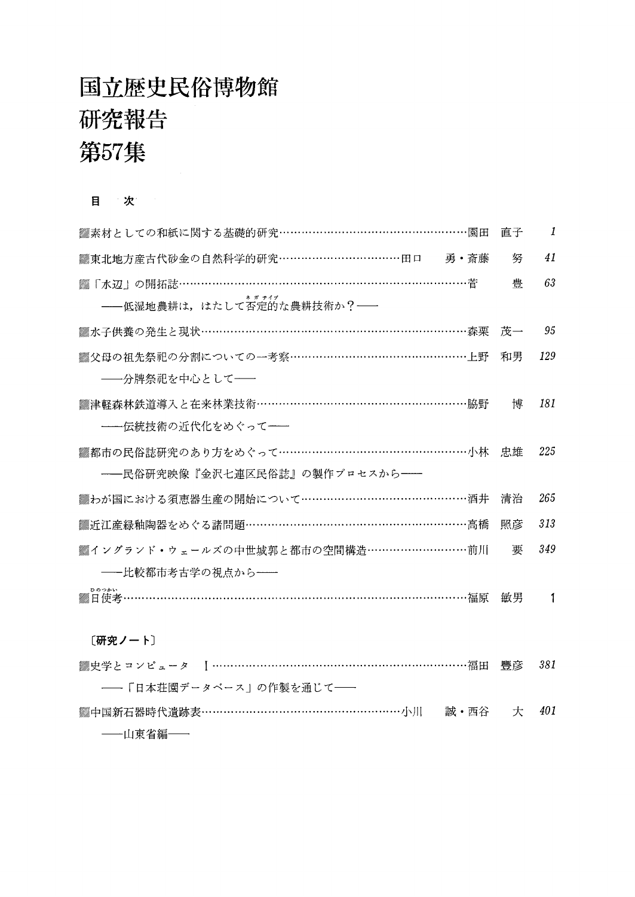### 国立歴史民俗博物館 研究報告 第57集

#### 目 次

| ▒素材としての和紙に関する基礎的研究……………………………………………園田    | 直子    | 1   |
|------------------------------------------|-------|-----|
| ▒東北地方産古代砂金の自然科学的研究……………………………田口──勇・斎藤    | 努     | 41  |
|                                          | 兽     | 63  |
| --低湿地農耕は、はたして否定的な農耕技術か? --               |       |     |
| ▒水子供養の発生と現状………………………………………………………………森栗 茂一 |       | 95  |
| ▒父母の祖先祭祀の分割についての一考察…………………………………………上野    | 和男    | 129 |
| ――分牌祭祀を中心として――                           |       |     |
| ▒津軽森林鉄道導入と在来林業技術…………………………………………………脇野    | 博     | 181 |
| ---伝統技術の近代化をめぐって--                       |       |     |
| ▒都市の民俗誌研究のあり方をめぐって……………………………………………小林 忠雄 |       | 225 |
| ――民俗研究映像『金沢七連区民俗誌』の製作プロセスから――            |       |     |
| ▓わが国における須恵器生産の開始について……………………………………酒井     | 清治    | 265 |
| ▒近江産緑釉陶器をめぐる諸問題…………………………………………………高橋     | 照彦    | 313 |
| ▒《 ングランド・ウェールズの中世城郭と都市の空間構造………………………前川   | 亜     | 349 |
| ――比較都市考古学の視点から――                         |       |     |
| ひのつかい                                    | 敏男    | 1   |
| 〔研究ノート〕                                  |       |     |
|                                          | 行而 脚立 | 901 |

| ――「日本荘園データベース」の作製を通じて――                       |  |  |
|-----------------------------------------------|--|--|
| ▒中国新石器時代遺跡表…………………………………………………小川  誠·西谷  大 401 |  |  |
| ──山東省編──                                      |  |  |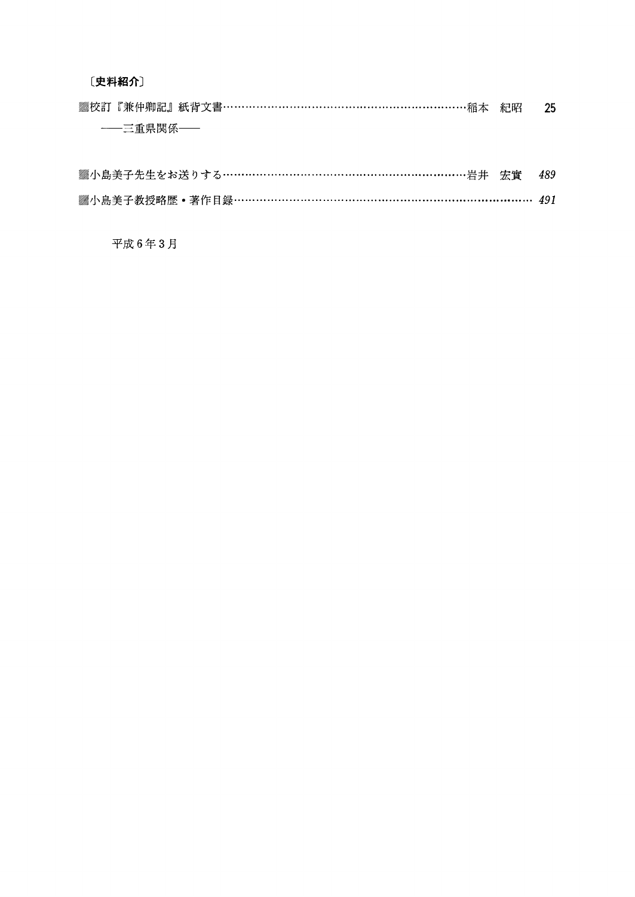〔史料紹介〕

| ▒校訂『兼仲卿記』紙背文書……………………………………………………稲本 紀昭 | - 25 |
|----------------------------------------|------|
| ——三重県関係——                              |      |
|                                        |      |

| ▓小島美子先生をお送りする……………………………………………………………岩井 宏實  489 |  |  |
|------------------------------------------------|--|--|
| ▒小島美子教授略歴•著作目録…………………………………………………………………… 491   |  |  |

平成6年3月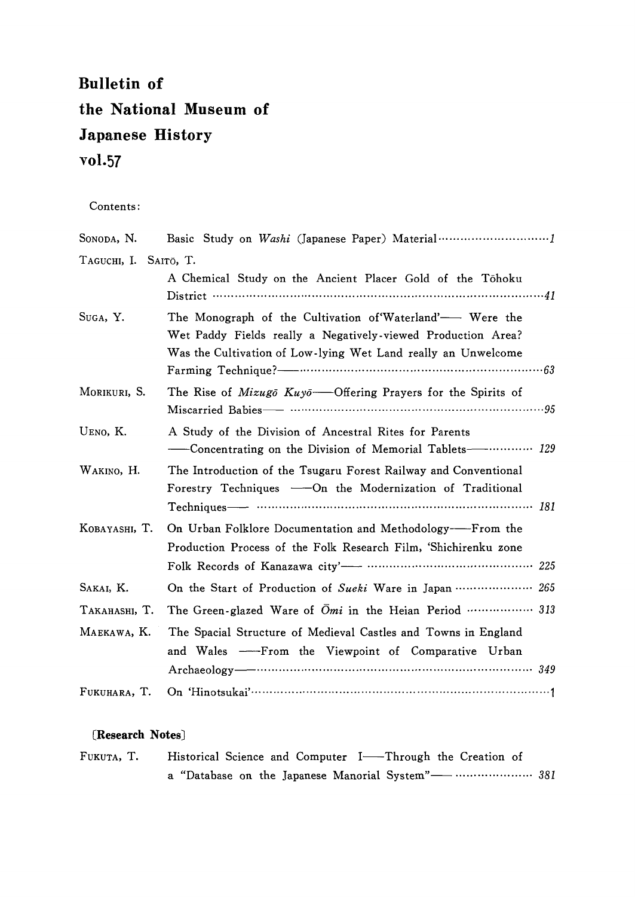### Bulletin of the National Museum of Japanese History vol.57

#### Contents:

| SONODA, N.            |                                                                                                                                                                                            |
|-----------------------|--------------------------------------------------------------------------------------------------------------------------------------------------------------------------------------------|
| TAGUCHI, I. SAITŌ, T. | A Chemical Study on the Ancient Placer Gold of the Tōhoku<br>District $\cdots$ and $\cdots$ and $\cdots$ and $\cdots$ and $\cdots$ and $\cdots$                                            |
| Suga, Y.              | The Monograph of the Cultivation of Waterland'—— Were the<br>Wet Paddy Fields really a Negatively-viewed Production Area?<br>Was the Cultivation of Low-lying Wet Land really an Unwelcome |
| MORIKURI, S.          | The Rise of <i>Mizugo</i> $Kuyo$ —Offering Prayers for the Spirits of                                                                                                                      |
| UENO, K.              | A Study of the Division of Ancestral Rites for Parents<br>-Concentrating on the Division of Memorial Tablets--------------- 129                                                            |
| WAKINO, H.            | The Introduction of the Tsugaru Forest Railway and Conventional<br>Forestry Techniques — On the Modernization of Traditional<br>Techniques - municipality of the 181                       |
| KOBAYASHI, T.         | On Urban Folklore Documentation and Methodology-----From the<br>Production Process of the Folk Research Film, 'Shichirenku zone                                                            |
| Sakai, K.             | On the Start of Production of Sueki Ware in Japan  265                                                                                                                                     |
| Таканаѕні, Т.         | The Green-glazed Ware of Omi in the Heian Period  313                                                                                                                                      |
| Maekawa, K.           | The Spacial Structure of Medieval Castles and Towns in England<br>and Wales ----From the Viewpoint of Comparative Urban                                                                    |
| FUKUHARA, T.          |                                                                                                                                                                                            |

#### 〔Research Notes〕

| FUKUTA, T. | Historical Science and Computer I——Through the Creation of |
|------------|------------------------------------------------------------|
|            | a "Database on the Japanese Manorial System"——  381        |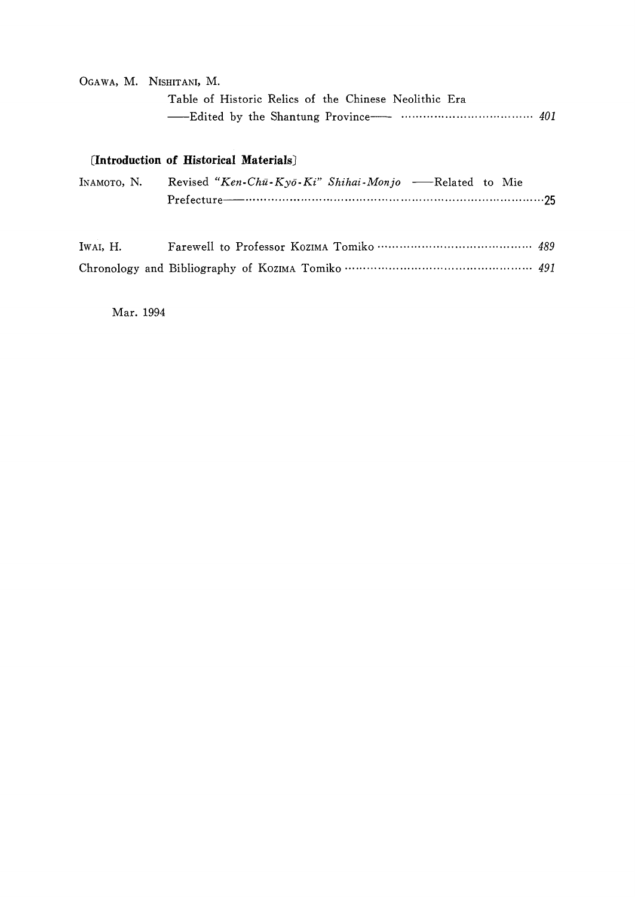#### OGAWA, M. NISHITANI, M.

| Table of Historic Relics of the Chinese Neolithic Era |  |
|-------------------------------------------------------|--|
|                                                       |  |

#### [Introduction of Historical Materials]

| INAMOTO, N. Revised "Ken-Chū-Kyō-Ki" Shihai-Monjo -Related to Mie |  |
|-------------------------------------------------------------------|--|
|                                                                   |  |

| IWAI, H. |  |
|----------|--|
|          |  |

Mar. 1994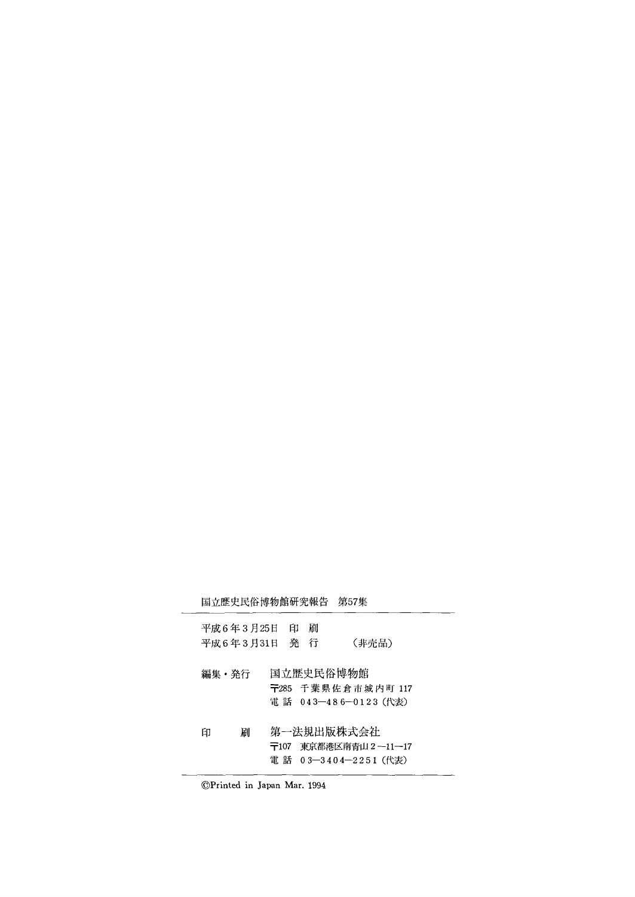|       |   | 国立歴史民俗博物館研究報告                |   | 第57集                                                         |  |
|-------|---|------------------------------|---|--------------------------------------------------------------|--|
|       |   | 平成6年3月25日 印<br>平成6年3月31日 発 行 | 刷 | (非売品)                                                        |  |
| 編集・発行 |   |                              |   | 国立歴史民俗博物館<br>〒285 千葉県佐倉市城内町 117<br>電話 043-486-0123 (代表)      |  |
| 印     | 刷 |                              |   | 第一法規出版株式会社<br>〒107 東京都港区南青山2--11--17<br>電 話 03―3404―2251(代表) |  |

◎Printed in Japan Mar.1994